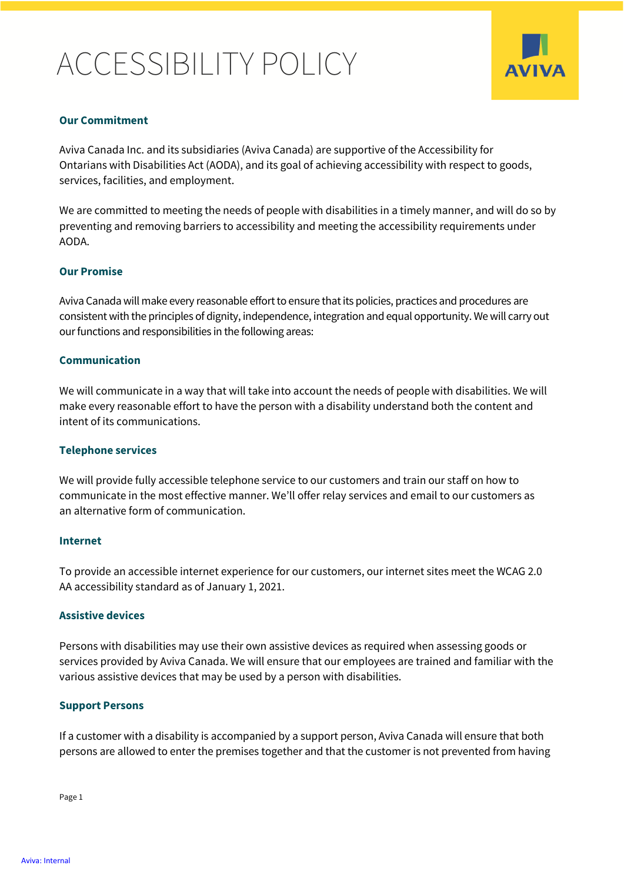# ACCESSIBILITY POLICY



## **Our Commitment**

Aviva Canada Inc. and its subsidiaries (Aviva Canada) are supportive of the Accessibility for Ontarians with Disabilities Act (AODA), and its goal of achieving accessibility with respect to goods, services, facilities, and employment.

We are committed to meeting the needs of people with disabilities in a timely manner, and will do so by preventing and removing barriers to accessibility and meeting the accessibility requirements under AODA.

#### **Our Promise**

Aviva Canada will make every reasonable effort to ensure that its policies, practices and procedures are consistent with the principles of dignity, independence, integration and equal opportunity. We will carry out our functions and responsibilities in the following areas:

#### **Communication**

We will communicate in a way that will take into account the needs of people with disabilities. We will make every reasonable effort to have the person with a disability understand both the content and intent of its communications.

#### **Telephone services**

We will provide fully accessible telephone service to our customers and train our staff on how to communicate in the most effective manner. We'll offer relay services and email to our customers as an alternative form of communication.

#### **Internet**

To provide an accessible internet experience for our customers, our internet sites meet the WCAG 2.0 AA accessibility standard as of January 1, 2021.

#### **Assistive devices**

Persons with disabilities may use their own assistive devices as required when assessing goods or services provided by Aviva Canada. We will ensure that our employees are trained and familiar with the various assistive devices that may be used by a person with disabilities.

#### **Support Persons**

If a customer with a disability is accompanied by a support person, Aviva Canada will ensure that both persons are allowed to enter the premises together and that the customer is not prevented from having

Page 1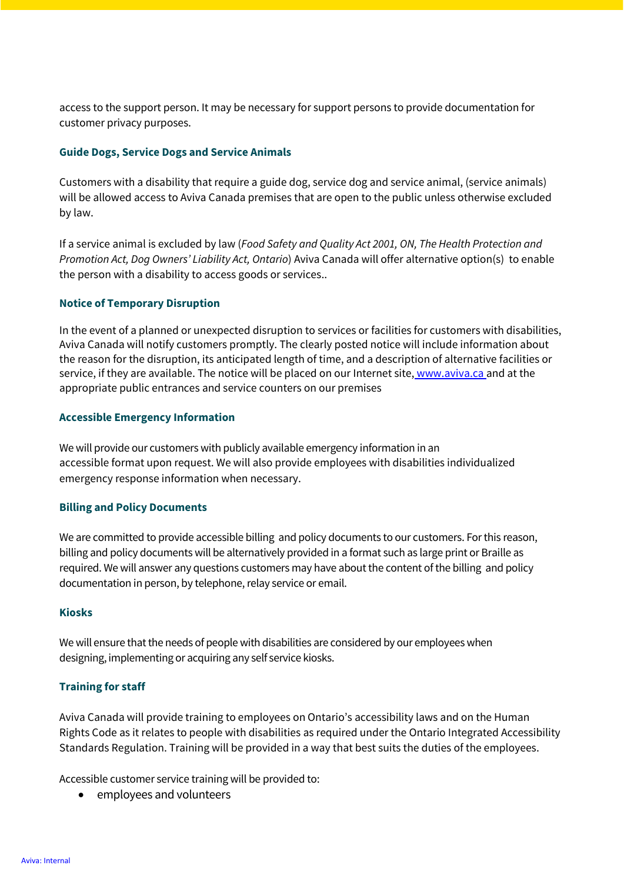access to the support person. It may be necessary for support persons to provide documentation for customer privacy purposes.

## **Guide Dogs, Service Dogs and Service Animals**

Customers with a disability that require a guide dog, service dog and service animal, (service animals) will be allowed access to Aviva Canada premises that are open to the public unless otherwise excluded by law.

If a service animal is excluded by law (*Food Safety and Quality Act 2001, ON, The Health Protection and Promotion Act, Dog Owners' Liability Act, Ontario*) Aviva Canada will offer alternative option(s) to enable the person with a disability to access goods or services..

# **Notice of Temporary Disruption**

In the event of a planned or unexpected disruption to services or facilities for customers with disabilities, Aviva Canada will notify customers promptly. The clearly posted notice will include information about the reason for the disruption, its anticipated length of time, and a description of alternative facilities or service, if they are available. The notice will be placed on our Internet site, [www.aviva.ca](http://www.aviva.ca/) and at the appropriate public entrances and service counters on our premises

## **Accessible Emergency Information**

We will provide our customers with publicly available emergency information in an accessible format upon request. We will also provide employees with disabilities individualized emergency response information when necessary.

#### **Billing and Policy Documents**

We are committed to provide accessible billing and policy documents to our customers. For this reason, billing and policy documents will be alternatively provided in a format such as large print or Braille as required. We will answer any questions customers may have about the content of the billing and policy documentation in person, by telephone, relay service or email.

#### **Kiosks**

We will ensure that the needs of people with disabilities are considered by our employees when designing, implementing or acquiring any self service kiosks.

# **Training for staff**

Aviva Canada will provide training to employees on Ontario's accessibility laws and on the Human Rights Code as it relates to people with disabilities as required under the Ontario Integrated Accessibility Standards Regulation. Training will be provided in a way that best suits the duties of the employees.

Accessible customer service training will be provided to:

employees and volunteers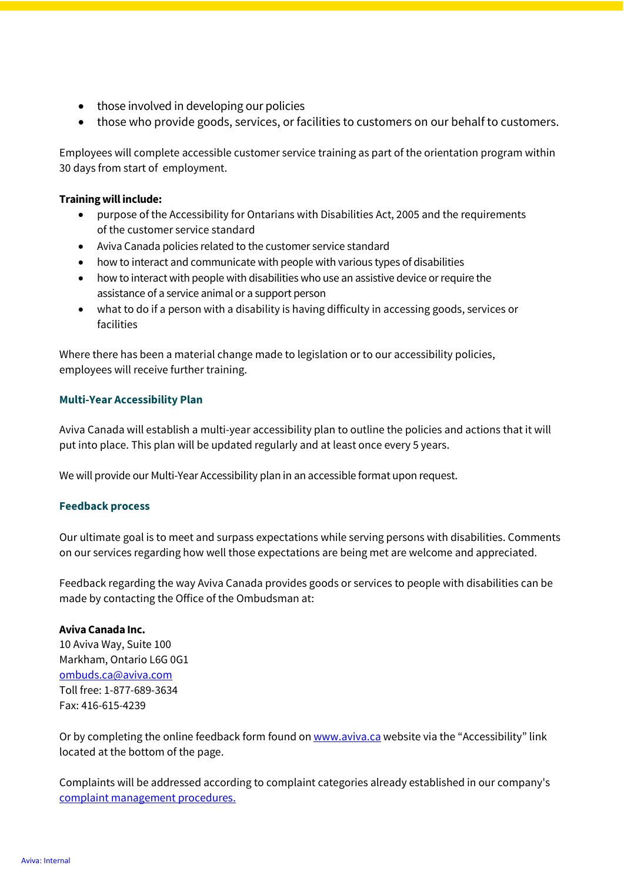- those involved in developing our policies
- those who provide goods, services, or facilities to customers on our behalf to customers.

Employees will complete accessible customer service training as part of the orientation program within 30 days from start of employment.

## **Training will include:**

- purpose of the Accessibility for Ontarians with Disabilities Act, 2005 and the requirements of the customer service standard
- Aviva Canada policies related to the customer service standard
- how to interact and communicate with people with various types of disabilities
- how to interact with people with disabilities who use an assistive device or require the assistance of a service animal or a support person
- what to do if a person with a disability is having difficulty in accessing goods, services or facilities

Where there has been a material change made to legislation or to our accessibility policies, employees will receive further training.

## **Multi-Year Accessibility Plan**

Aviva Canada will establish a multi-year accessibility plan to outline the policies and actions that it will put into place. This plan will be updated regularly and at least once every 5 years.

We will provide our Multi-Year Accessibility plan in an accessible format upon request.

# **Feedback process**

Our ultimate goal is to meet and surpass expectations while serving persons with disabilities. Comments on our services regarding how well those expectations are being met are welcome and appreciated.

Feedback regarding the way Aviva Canada provides goods or services to people with disabilities can be made by contacting the Office of the Ombudsman at:

#### **Aviva Canada Inc.**

10 Aviva Way, Suite 100 Markham, Ontario L6G 0G1 [ombuds.ca@aviva.com](mailto:ombuds.ca@aviva.com)  Toll free: 1-877-689-3634 Fax: 416-615-4239

Or by completing the online feedback form found o[n www.aviva.ca w](http://www.aviva.ca/)ebsite via the "Accessibility" link located at the bottom of the page.

Complaints will be addressed according to complaint categories already established in our company'[s](https://www.aviva.ca/en/footer/ombudsman/) [complaint management procedures.](https://www.aviva.ca/en/footer/ombudsman/)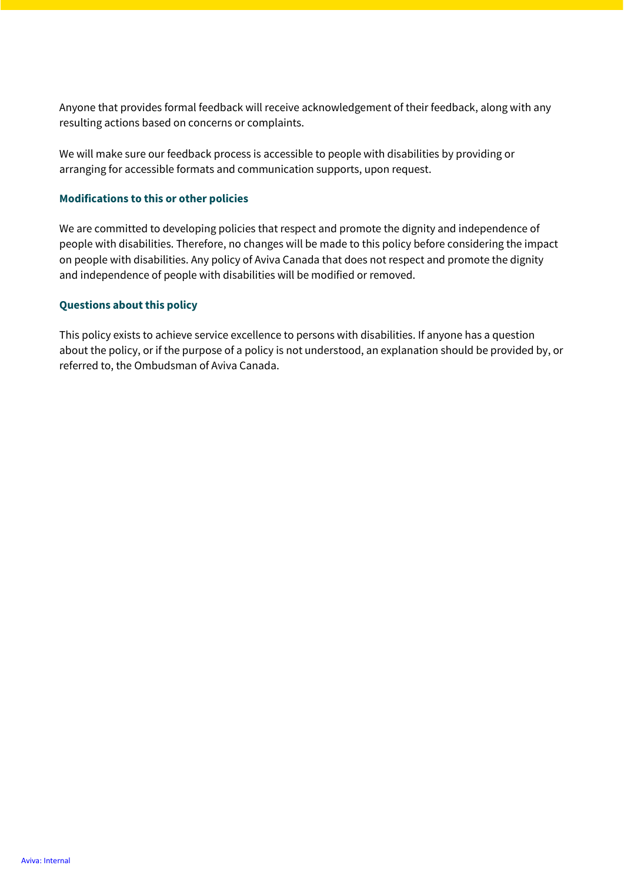Anyone that provides formal feedback will receive acknowledgement of their feedback, along with any resulting actions based on concerns or complaints.

We will make sure our feedback process is accessible to people with disabilities by providing or arranging for accessible formats and communication supports, upon request.

## **Modifications to this or other policies**

We are committed to developing policies that respect and promote the dignity and independence of people with disabilities. Therefore, no changes will be made to this policy before considering the impact on people with disabilities. Any policy of Aviva Canada that does not respect and promote the dignity and independence of people with disabilities will be modified or removed.

# **Questions about this policy**

This policy exists to achieve service excellence to persons with disabilities. If anyone has a question about the policy, or if the purpose of a policy is not understood, an explanation should be provided by, or referred to, the Ombudsman of Aviva Canada.